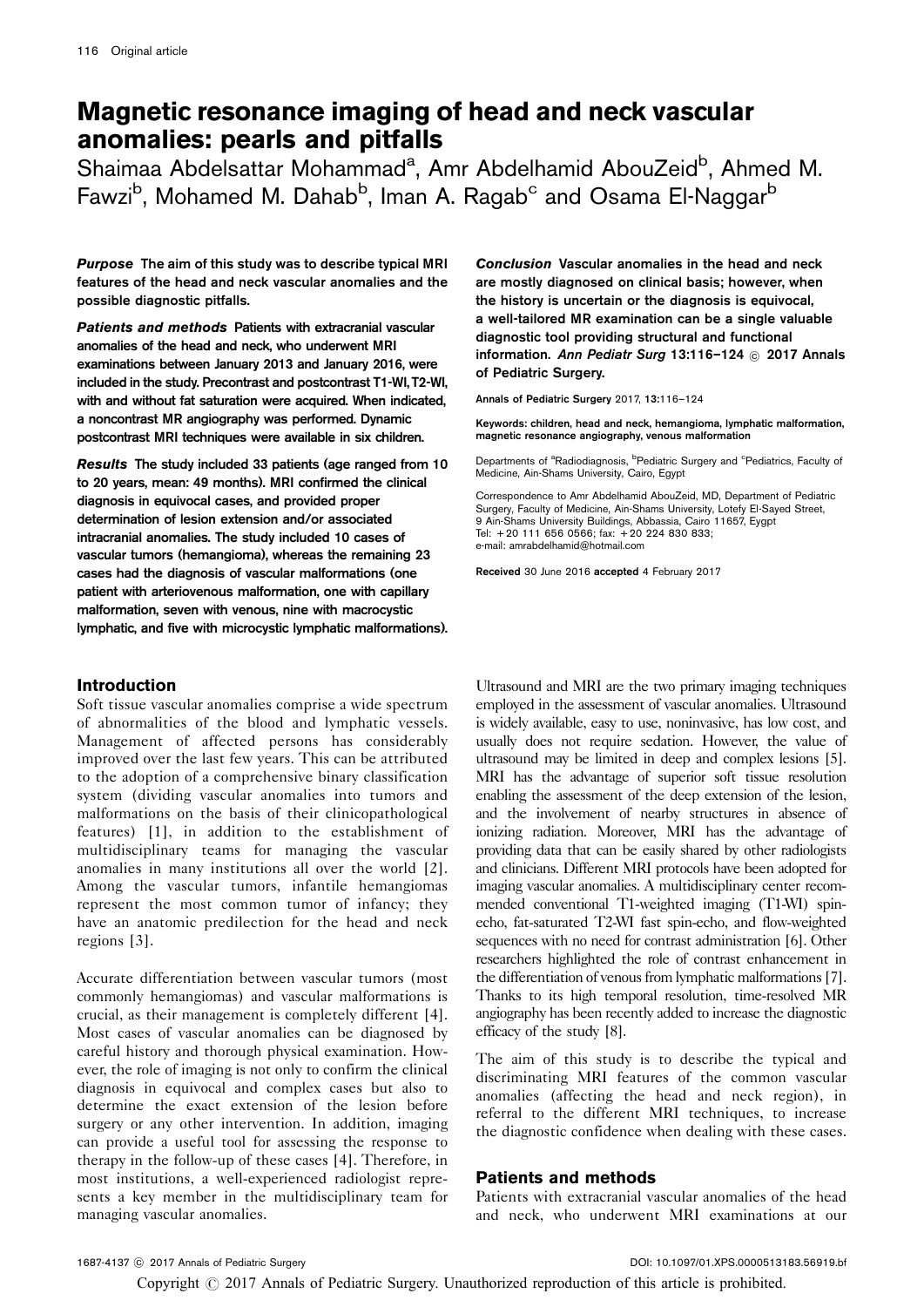# Magnetic resonance imaging of head and neck vascular anomalies: pearls and pitfalls

Shaimaa Abdelsattar Mohammad<sup>a</sup>, Amr Abdelhamid AbouZeid<sup>b</sup>, Ahmed M. Fawzi<sup>b</sup>, Mohamed M. Dahab<sup>b</sup>, Iman A. Ragab<sup>c</sup> and Osama El-Naggar<sup>b</sup>

Purpose The aim of this study was to describe typical MRI features of the head and neck vascular anomalies and the possible diagnostic pitfalls.

Patients and methods Patients with extracranial vascular anomalies of the head and neck, who underwent MRI examinations between January 2013 and January 2016, were included in the study. Precontrast and postcontrast T1-WI, T2-WI, with and without fat saturation were acquired. When indicated, a noncontrast MR angiography was performed. Dynamic postcontrast MRI techniques were available in six children.

Results The study included 33 patients (age ranged from 10 to 20 years, mean: 49 months). MRI confirmed the clinical diagnosis in equivocal cases, and provided proper determination of lesion extension and/or associated intracranial anomalies. The study included 10 cases of vascular tumors (hemangioma), whereas the remaining 23 cases had the diagnosis of vascular malformations (one patient with arteriovenous malformation, one with capillary malformation, seven with venous, nine with macrocystic lymphatic, and five with microcystic lymphatic malformations).

# Introduction

Soft tissue vascular anomalies comprise a wide spectrum of abnormalities of the blood and lymphatic vessels. Management of affected persons has considerably improved over the last few years. This can be attributed to the adoption of a comprehensive binary classification system (dividing vascular anomalies into tumors and malformations on the basis of their clinicopathological features) [\[1](#page-8-0)], in addition to the establishment of multidisciplinary teams for managing the vascular anomalies in many institutions all over the world [\[2](#page-8-0)]. Among the vascular tumors, infantile hemangiomas represent the most common tumor of infancy; they have an anatomic predilection for the head and neck regions [\[3](#page-8-0)].

Accurate differentiation between vascular tumors (most commonly hemangiomas) and vascular malformations is crucial, as their management is completely different [\[4](#page-8-0)]. Most cases of vascular anomalies can be diagnosed by careful history and thorough physical examination. However, the role of imaging is not only to confirm the clinical diagnosis in equivocal and complex cases but also to determine the exact extension of the lesion before surgery or any other intervention. In addition, imaging can provide a useful tool for assessing the response to therapy in the follow-up of these cases [\[4\]](#page-8-0). Therefore, in most institutions, a well-experienced radiologist represents a key member in the multidisciplinary team for managing vascular anomalies.

Conclusion Vascular anomalies in the head and neck are mostly diagnosed on clinical basis; however, when the history is uncertain or the diagnosis is equivocal, a well-tailored MR examination can be a single valuable diagnostic tool providing structural and functional information. Ann Pediatr Surg 13:116-124 © 2017 Annals of Pediatric Surgery.

Annals of Pediatric Surgery 2017, 13:116–124

Keywords: children, head and neck, hemangioma, lymphatic malformation, magnetic resonance angiography, venous malformation

Departments of <sup>a</sup>Radiodiagnosis, <sup>b</sup>Pediatric Surgery and <sup>c</sup>Pediatrics, Faculty of Medicine, Ain-Shams University, Cairo, Egypt

Correspondence to Amr Abdelhamid AbouZeid, MD, Department of Pediatric Surgery, Faculty of Medicine, Ain-Shams University, Lotefy El-Sayed Street, 9 Ain-Shams University Buildings, Abbassia, Cairo 11657, Eygpt Tel: + 20 111 656 0566; fax: + 20 224 830 833; e-mail: [amrabdelhamid@hotmail.com](mailto:amrabdelhamid@hotmail.com)

Received 30 June 2016 accepted 4 February 2017

Ultrasound and MRI are the two primary imaging techniques employed in the assessment of vascular anomalies. Ultrasound is widely available, easy to use, noninvasive, has low cost, and usually does not require sedation. However, the value of ultrasound may be limited in deep and complex lesions [\[5\]](#page-8-0). MRI has the advantage of superior soft tissue resolution enabling the assessment of the deep extension of the lesion, and the involvement of nearby structures in absence of ionizing radiation. Moreover, MRI has the advantage of providing data that can be easily shared by other radiologists and clinicians. Different MRI protocols have been adopted for imaging vascular anomalies. A multidisciplinary center recommended conventional T1-weighted imaging (T1-WI) spinecho, fat-saturated T2-WI fast spin-echo, and flow-weighted sequences with no need for contrast administration [\[6\]](#page-8-0). Other researchers highlighted the role of contrast enhancement in the differentiation of venous from lymphatic malformations [\[7\]](#page-8-0). Thanks to its high temporal resolution, time-resolved MR angiography has been recently added to increase the diagnostic efficacy of the study [\[8\]](#page-8-0).

The aim of this study is to describe the typical and discriminating MRI features of the common vascular anomalies (affecting the head and neck region), in referral to the different MRI techniques, to increase the diagnostic confidence when dealing with these cases.

## Patients and methods

Patients with extracranial vascular anomalies of the head and neck, who underwent MRI examinations at our

Copyright  $\odot$  2017 Annals of Pediatric Surgery. Unauthorized reproduction of this article is prohibited.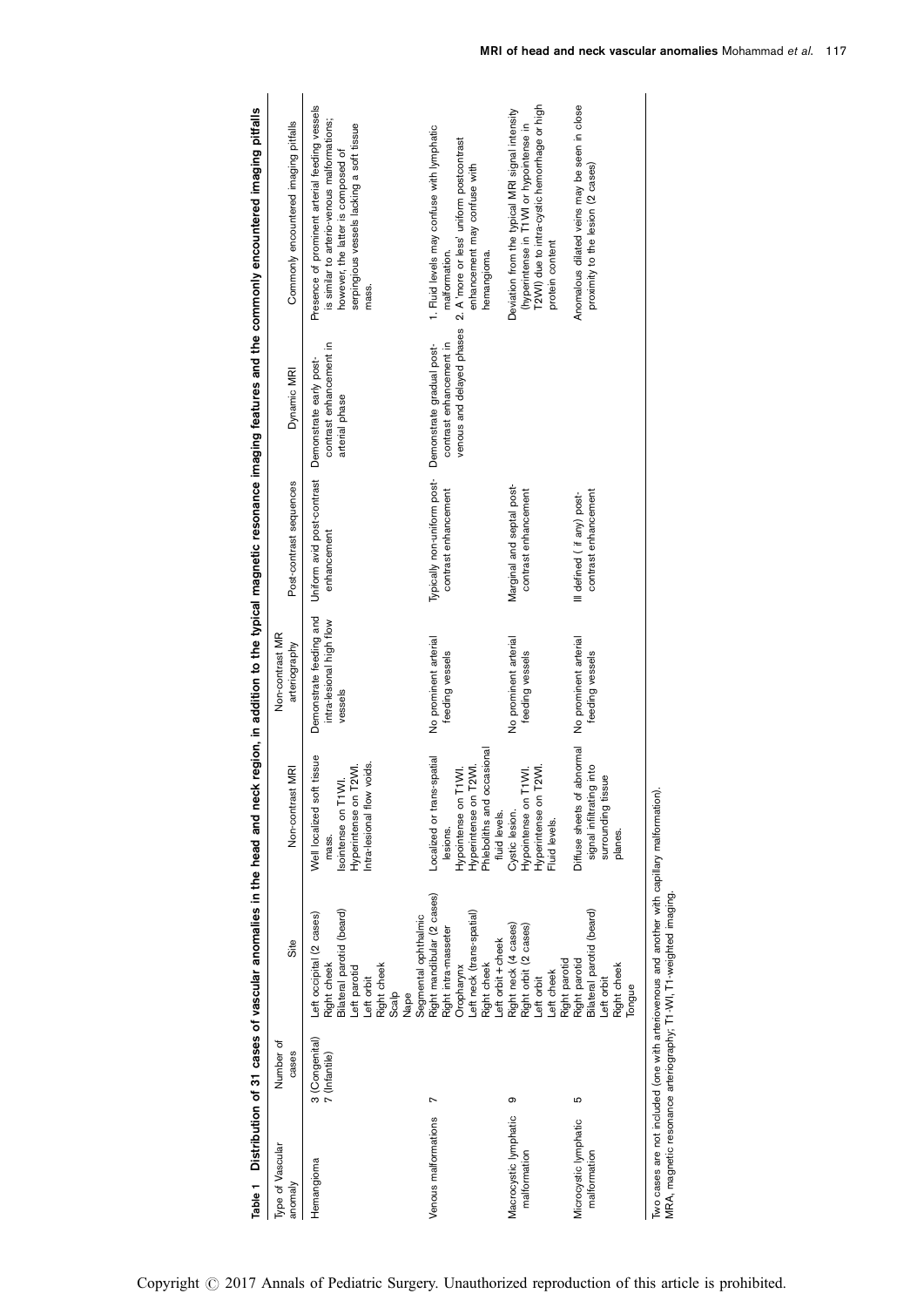| 3 (Congenital)<br>7 (Infantile)<br>Hemangioma | Site<br>Number of<br>cases                                                                                                                                 | MRI<br>Non-contrast                                                                                                                          | Non-contrast MR<br>arteriography                               | Post-contrast sequences                                           | Dynamic MRI                                                                       | Commonly encountered imaging pitfalls                                                                                                                                                     |
|-----------------------------------------------|------------------------------------------------------------------------------------------------------------------------------------------------------------|----------------------------------------------------------------------------------------------------------------------------------------------|----------------------------------------------------------------|-------------------------------------------------------------------|-----------------------------------------------------------------------------------|-------------------------------------------------------------------------------------------------------------------------------------------------------------------------------------------|
|                                               | Bilateral parotid (beard)<br>Left occipital (2 cases)<br>Right cheek<br>Right cheek<br>Left parotid<br>Left orbit<br>Scalp<br>Nape                         | Well localized soft tissue<br>voids.<br>Hyperintense on T2WI.<br>Isointense on T1WI.<br>Intra-lesional flow<br>mass.                         | Demonstrate feeding and<br>intra-lesional high flow<br>vessels | Uniform avid post-contrast Demonstrate early post-<br>enhancement | contrast enhancement in<br>arterial phase                                         | Presence of prominent arterial feeding vessels<br>is similar to arterio-venous malformations;<br>serpingious vessels lacking a soft tissue<br>however, the latter is composed of<br>mass. |
| Venous malformations                          | Right mandibular (2 cases)<br>Left neck (trans-spatial)<br>Segmental ophthalmic<br>Right intra-masseter<br>Left orbit + cheek<br>Right cheek<br>Oropharynx | Phleboliths and occasional<br>Localized or trans-spatial<br>T2WI.<br>T1WI.<br>Hyperintense on<br>Hypointense on<br>fluid levels.<br>lesions. | No prominent arterial<br>feeding vessels                       | Typically non-uniform post-<br>contrast enhancement               | venous and delayed phases<br>contrast enhancement in<br>Demonstrate gradual post- | 1. Fluid levels may confuse with lymphatic<br>2. A 'more or less' uniform postcontrast<br>enhancement may confuse with<br>malformation.<br>hemangioma.                                    |
| თ<br>Macrocystic lymphatic<br>malformation    | Right neck (4 cases)<br>Right orbit (2 cases)<br>Right parotid<br>Left cheek<br>Left orbit                                                                 | T2WI.<br>T1WI.<br>Hyperintense on<br>Hypointense on<br>Cystic lesion.<br>Fluid levels.                                                       | No prominent arterial<br>feeding vessels                       | Marginal and septal post-<br>contrast enhancement                 |                                                                                   | T2WI) due to intra-cystic hemorrhage or high<br>Deviation from the typical MRI signal intensity<br>(hyperintense in T1WI or hypointense in<br>protein content                             |
| Ю<br>Microcystic lymphatic<br>malformation    | Bilateral parotid (beard)<br>Right parotid<br>Right cheek<br>Left orbit<br>Tongue                                                                          | Diffuse sheets of abnomal<br>signal infiltrating into<br>surrounding tissue<br>planes.                                                       | No prominent arterial<br>feeding vessels                       | contrast enhancement<br>Ill defined (if any) post-                |                                                                                   | Anomalous dilated veins may be seen in close<br>proximity to the lesion (2 cases)                                                                                                         |

<span id="page-1-0"></span>Table 1 Distribution of 31 cases of vascular anomalies in the head and neck region, in addition to the typical magnetic resonance imaging features and the commonly encountered imaging pitfalls Table 1 Distribution of 31 cases of vascular anomalies in the head and neck region, in addition to the typical magnetic resonance imaging features and the commonly encountered imaging pitfalls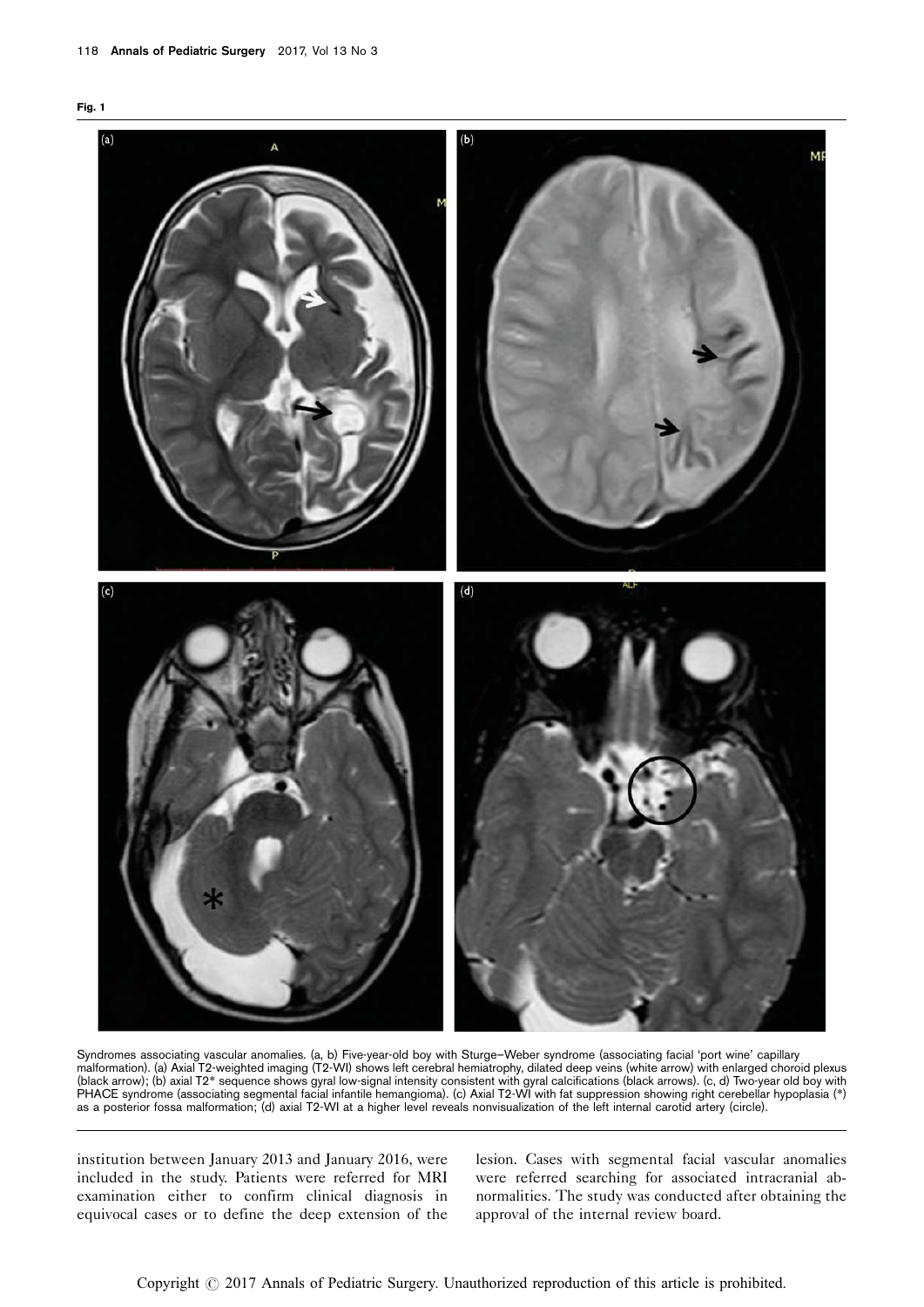<span id="page-2-0"></span>



Syndromes associating vascular anomalies. (a, b) Five-year-old boy with Sturge–Weber syndrome (associating facial 'port wine' capillary malformation). (a) Axial T2-weighted imaging (T2-WI) shows left cerebral hemiatrophy, dilated deep veins (white arrow) with enlarged choroid plexus (black arrow); (b) axial T2\* sequence shows gyral low-signal intensity consistent with gyral calcifications (black arrows). (c, d) Two-year old boy with PHACE syndrome (associating segmental facial infantile hemangioma). (c) Axial T2-WI with fat suppression showing right cerebellar hypoplasia (\*) as a posterior fossa malformation; (d) axial T2-WI at a higher level reveals nonvisualization of the left internal carotid artery (circle).

institution between January 2013 and January 2016, were included in the study. Patients were referred for MRI examination either to confirm clinical diagnosis in equivocal cases or to define the deep extension of the lesion. Cases with segmental facial vascular anomalies were referred searching for associated intracranial abnormalities. The study was conducted after obtaining the approval of the internal review board.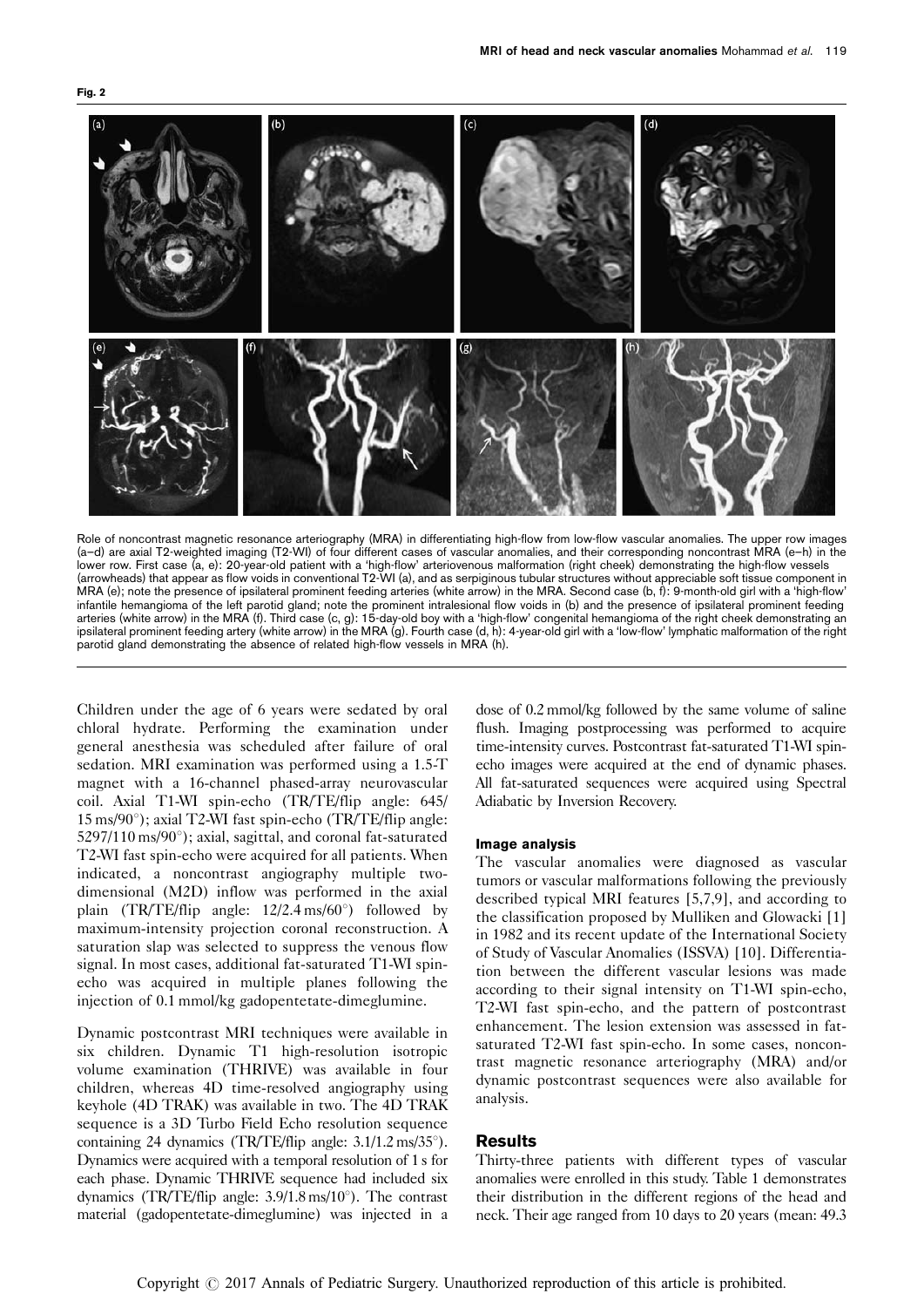<span id="page-3-0"></span>



Role of noncontrast magnetic resonance arteriography (MRA) in differentiating high-flow from low-flow vascular anomalies. The upper row images (a–d) are axial T2-weighted imaging (T2-WI) of four different cases of vascular anomalies, and their corresponding noncontrast MRA (e–h) in the lower row. First case (a, e): 20-year-old patient with a 'high-flow' arteriovenous malformation (right cheek) demonstrating the high-flow vessels (arrowheads) that appear as flow voids in conventional T2-WI (a), and as serpiginous tubular structures without appreciable soft tissue component in MRA (e); note the presence of ipsilateral prominent feeding arteries (white arrow) in the MRA. Second case (b, f): 9-month-old girl with a 'high-flow' infantile hemangioma of the left parotid gland; note the prominent intralesional flow voids in (b) and the presence of ipsilateral prominent feeding arteries (white arrow) in the MRA (f). Third case (c, g): 15-day-old boy with a 'high-flow' congenital hemangioma of the right cheek demonstrating an ipsilateral prominent feeding artery (white arrow) in the MRA (g). Fourth case (d, h): 4-year-old girl with a 'low-flow' lymphatic malformation of the right parotid gland demonstrating the absence of related high-flow vessels in MRA (h).

Children under the age of 6 years were sedated by oral chloral hydrate. Performing the examination under general anesthesia was scheduled after failure of oral sedation. MRI examination was performed using a 1.5-T magnet with a 16-channel phased-array neurovascular coil. Axial T1-WI spin-echo (TR/TE/flip angle: 645/  $15 \text{ ms}/90^\circ$ ); axial T2-WI fast spin-echo (TR/TE/flip angle:  $5297/110$  ms/90 $^{\circ}$ ); axial, sagittal, and coronal fat-saturated T2-WI fast spin-echo were acquired for all patients. When indicated, a noncontrast angiography multiple twodimensional (M2D) inflow was performed in the axial plain (TR/TE/flip angle:  $12/2.4 \text{ ms}/60^{\circ}$ ) followed by maximum-intensity projection coronal reconstruction. A saturation slap was selected to suppress the venous flow signal. In most cases, additional fat-saturated T1-WI spinecho was acquired in multiple planes following the injection of 0.1 mmol/kg gadopentetate-dimeglumine.

Dynamic postcontrast MRI techniques were available in six children. Dynamic T1 high-resolution isotropic volume examination (THRIVE) was available in four children, whereas 4D time-resolved angiography using keyhole (4D TRAK) was available in two. The 4D TRAK sequence is a 3D Turbo Field Echo resolution sequence containing 24 dynamics (TR/TE/flip angle:  $3.1/1.2 \text{ ms}/35^{\circ}$ ). Dynamics were acquired with a temporal resolution of 1 s for each phase. Dynamic THRIVE sequence had included six dynamics (TR/TE/flip angle:  $3.9/1.8 \text{ ms}/10^{\circ}$ ). The contrast material (gadopentetate-dimeglumine) was injected in a

dose of 0.2 mmol/kg followed by the same volume of saline flush. Imaging postprocessing was performed to acquire time-intensity curves. Postcontrast fat-saturated T1-WI spinecho images were acquired at the end of dynamic phases. All fat-saturated sequences were acquired using Spectral Adiabatic by Inversion Recovery.

## Image analysis

The vascular anomalies were diagnosed as vascular tumors or vascular malformations following the previously described typical MRI features [\[5,7,9\]](#page-8-0), and according to the classification proposed by Mulliken and Glowacki [\[1\]](#page-8-0) in 1982 and its recent update of the International Society of Study of Vascular Anomalies (ISSVA) [\[10](#page-8-0)]. Differentiation between the different vascular lesions was made according to their signal intensity on T1-WI spin-echo, T2-WI fast spin-echo, and the pattern of postcontrast enhancement. The lesion extension was assessed in fatsaturated T2-WI fast spin-echo. In some cases, noncontrast magnetic resonance arteriography (MRA) and/or dynamic postcontrast sequences were also available for analysis.

## Results

Thirty-three patients with different types of vascular anomalies were enrolled in this study. [Table 1](#page-1-0) demonstrates their distribution in the different regions of the head and neck. Their age ranged from 10 days to 20 years (mean: 49.3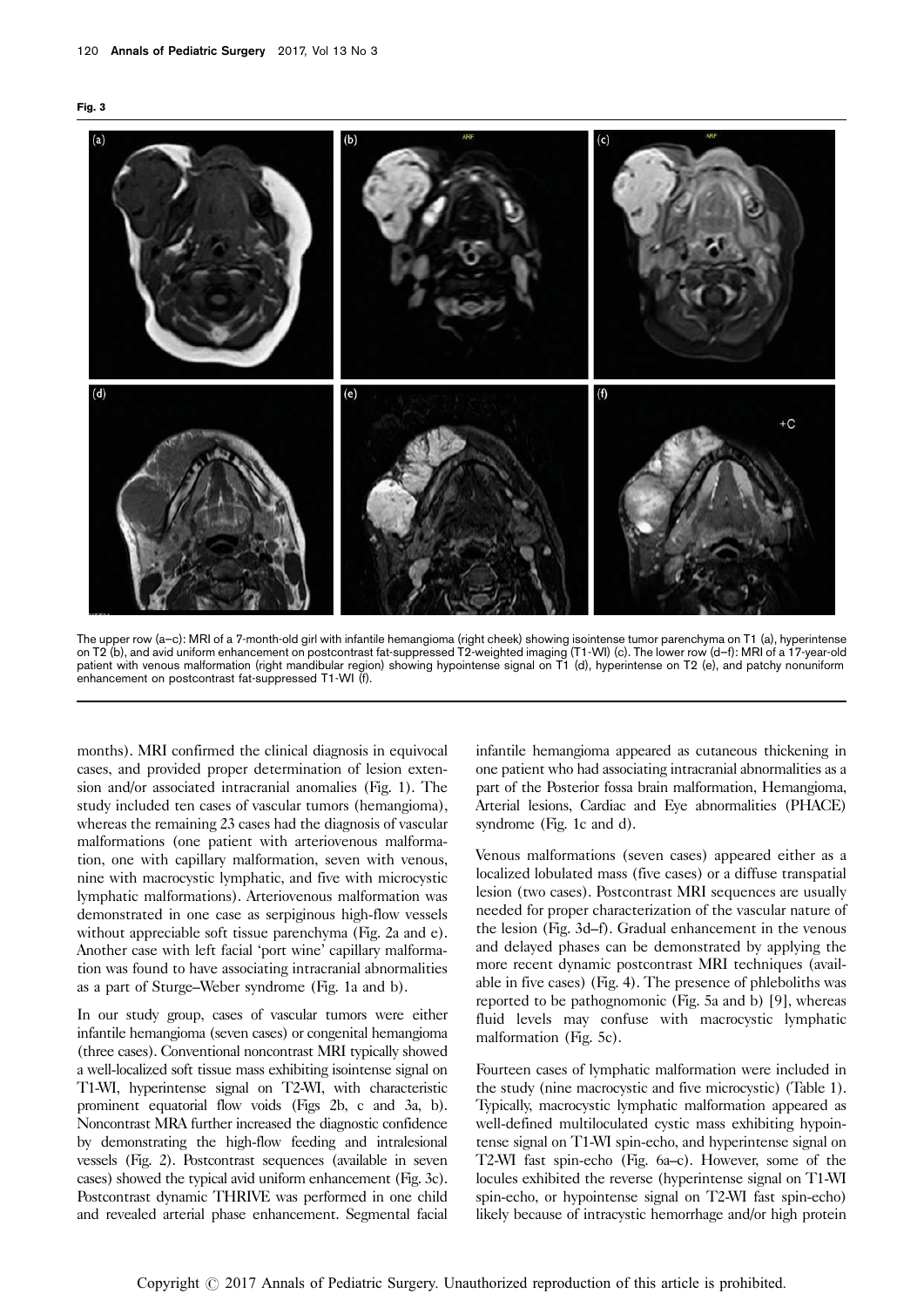



The upper row (a–c): MRI of a 7-month-old girl with infantile hemangioma (right cheek) showing isointense tumor parenchyma on T1 (a), hyperintense on T2 (b), and avid uniform enhancement on postcontrast fat-suppressed T2-weighted imaging (T1-WI) (c). The lower row (d–f): MRI of a 17-year-old patient with venous malformation (right mandibular region) showing hypointense signal on T1 (d), hyperintense on T2 (e), and patchy nonuniform enhancement on postcontrast fat-suppressed T1-WI (f).

months). MRI confirmed the clinical diagnosis in equivocal cases, and provided proper determination of lesion extension and/or associated intracranial anomalies [\(Fig. 1](#page-2-0)). The study included ten cases of vascular tumors (hemangioma), whereas the remaining 23 cases had the diagnosis of vascular malformations (one patient with arteriovenous malformation, one with capillary malformation, seven with venous, nine with macrocystic lymphatic, and five with microcystic lymphatic malformations). Arteriovenous malformation was demonstrated in one case as serpiginous high-flow vessels without appreciable soft tissue parenchyma [\(Fig. 2a and e](#page-3-0)). Another case with left facial 'port wine' capillary malformation was found to have associating intracranial abnormalities as a part of Sturge–Weber syndrome ([Fig. 1a and b\)](#page-2-0).

In our study group, cases of vascular tumors were either infantile hemangioma (seven cases) or congenital hemangioma (three cases). Conventional noncontrast MRI typically showed a well-localized soft tissue mass exhibiting isointense signal on T1-WI, hyperintense signal on T2-WI, with characteristic prominent equatorial flow voids [\(Figs 2b, c and 3a, b\)](#page-3-0). Noncontrast MRA further increased the diagnostic confidence by demonstrating the high-flow feeding and intralesional vessels [\(Fig. 2](#page-3-0)). Postcontrast sequences (available in seven cases) showed the typical avid uniform enhancement (Fig. 3c). Postcontrast dynamic THRIVE was performed in one child and revealed arterial phase enhancement. Segmental facial

infantile hemangioma appeared as cutaneous thickening in one patient who had associating intracranial abnormalities as a part of the Posterior fossa brain malformation, Hemangioma, Arterial lesions, Cardiac and Eye abnormalities (PHACE) syndrome ([Fig. 1c and d\)](#page-2-0).

Venous malformations (seven cases) appeared either as a localized lobulated mass (five cases) or a diffuse transpatial lesion (two cases). Postcontrast MRI sequences are usually needed for proper characterization of the vascular nature of the lesion (Fig. 3d–f). Gradual enhancement in the venous and delayed phases can be demonstrated by applying the more recent dynamic postcontrast MRI techniques (available in five cases) [\(Fig. 4](#page-5-0)). The presence of phleboliths was reported to be pathognomonic [\(Fig. 5a and b](#page-5-0)) [\[9](#page-8-0)], whereas fluid levels may confuse with macrocystic lymphatic malformation [\(Fig. 5c](#page-5-0)).

Fourteen cases of lymphatic malformation were included in the study (nine macrocystic and five microcystic) ([Table 1](#page-1-0)). Typically, macrocystic lymphatic malformation appeared as well-defined multiloculated cystic mass exhibiting hypointense signal on T1-WI spin-echo, and hyperintense signal on T2-WI fast spin-echo ([Fig. 6a–c\)](#page-6-0). However, some of the locules exhibited the reverse (hyperintense signal on T1-WI spin-echo, or hypointense signal on T2-WI fast spin-echo) likely because of intracystic hemorrhage and/or high protein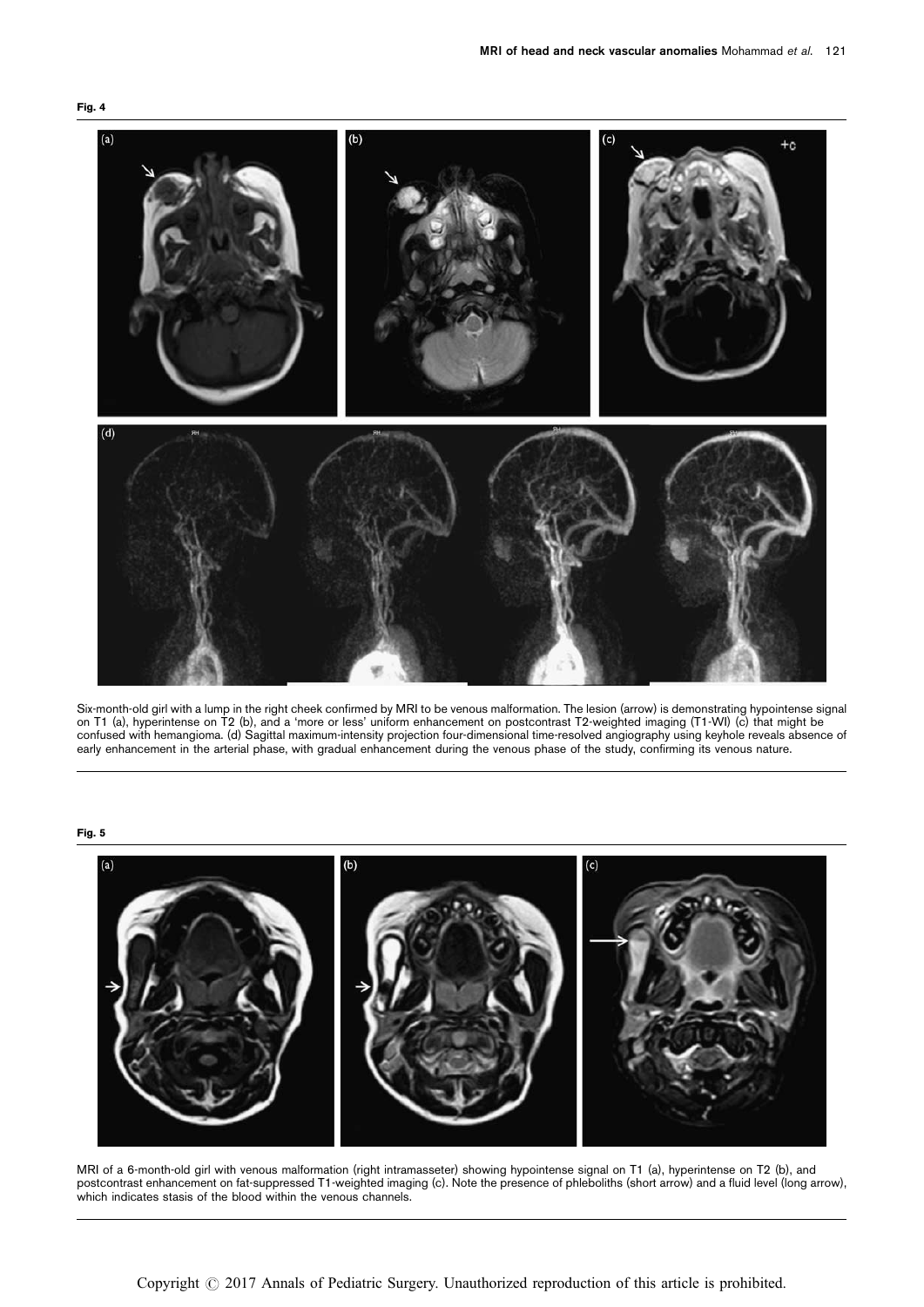<span id="page-5-0"></span>



Six-month-old girl with a lump in the right cheek confirmed by MRI to be venous malformation. The lesion (arrow) is demonstrating hypointense signal on T1 (a), hyperintense on T2 (b), and a 'more or less' uniform enhancement on postcontrast T2-weighted imaging (T1-WI) (c) that might be confused with hemangioma. (d) Sagittal maximum-intensity projection four-dimensional time-resolved angiography using keyhole reveals absence of early enhancement in the arterial phase, with gradual enhancement during the venous phase of the study, confirming its venous nature.

## Fig. 5



MRI of a 6-month-old girl with venous malformation (right intramasseter) showing hypointense signal on T1 (a), hyperintense on T2 (b), and postcontrast enhancement on fat-suppressed T1-weighted imaging (c). Note the presence of phleboliths (short arrow) and a fluid level (long arrow), which indicates stasis of the blood within the venous channels.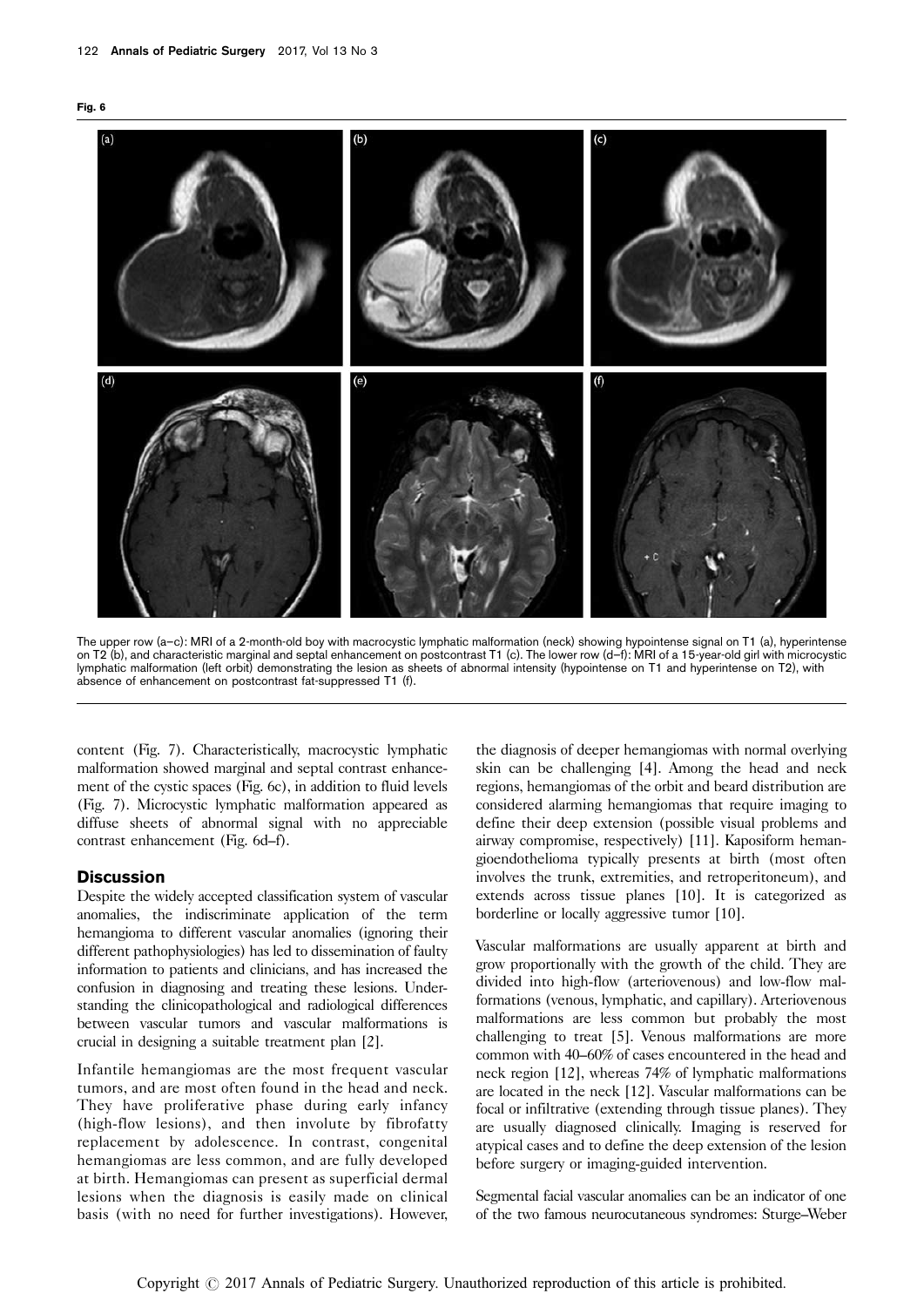<span id="page-6-0"></span>



The upper row (a-c): MRI of a 2-month-old boy with macrocystic lymphatic malformation (neck) showing hypointense signal on T1 (a), hyperintense on T2 (b), and characteristic marginal and septal enhancement on postcontrast T1 (c). The lower row (d–f): MRI of a 15-year-old girl with microcystic lymphatic malformation (left orbit) demonstrating the lesion as sheets of abnormal intensity (hypointense on T1 and hyperintense on T2), with absence of enhancement on postcontrast fat-suppressed T1 (f).

content [\(Fig. 7](#page-7-0)). Characteristically, macrocystic lymphatic malformation showed marginal and septal contrast enhancement of the cystic spaces (Fig. 6c), in addition to fluid levels [\(Fig. 7](#page-7-0)). Microcystic lymphatic malformation appeared as diffuse sheets of abnormal signal with no appreciable contrast enhancement (Fig. 6d–f).

## **Discussion**

Despite the widely accepted classification system of vascular anomalies, the indiscriminate application of the term hemangioma to different vascular anomalies (ignoring their different pathophysiologies) has led to dissemination of faulty information to patients and clinicians, and has increased the confusion in diagnosing and treating these lesions. Understanding the clinicopathological and radiological differences between vascular tumors and vascular malformations is crucial in designing a suitable treatment plan [\[2](#page-8-0)].

Infantile hemangiomas are the most frequent vascular tumors, and are most often found in the head and neck. They have proliferative phase during early infancy (high-flow lesions), and then involute by fibrofatty replacement by adolescence. In contrast, congenital hemangiomas are less common, and are fully developed at birth. Hemangiomas can present as superficial dermal lesions when the diagnosis is easily made on clinical basis (with no need for further investigations). However,

the diagnosis of deeper hemangiomas with normal overlying skin can be challenging [\[4](#page-8-0)]. Among the head and neck regions, hemangiomas of the orbit and beard distribution are considered alarming hemangiomas that require imaging to define their deep extension (possible visual problems and airway compromise, respectively) [\[11](#page-8-0)]. Kaposiform hemangioendothelioma typically presents at birth (most often involves the trunk, extremities, and retroperitoneum), and extends across tissue planes [\[10](#page-8-0)]. It is categorized as borderline or locally aggressive tumor [\[10\]](#page-8-0).

Vascular malformations are usually apparent at birth and grow proportionally with the growth of the child. They are divided into high-flow (arteriovenous) and low-flow malformations (venous, lymphatic, and capillary). Arteriovenous malformations are less common but probably the most challenging to treat [\[5](#page-8-0)]. Venous malformations are more common with 40–60% of cases encountered in the head and neck region [\[12](#page-8-0)], whereas 74% of lymphatic malformations are located in the neck [\[12\]](#page-8-0). Vascular malformations can be focal or infiltrative (extending through tissue planes). They are usually diagnosed clinically. Imaging is reserved for atypical cases and to define the deep extension of the lesion before surgery or imaging-guided intervention.

Segmental facial vascular anomalies can be an indicator of one of the two famous neurocutaneous syndromes: Sturge–Weber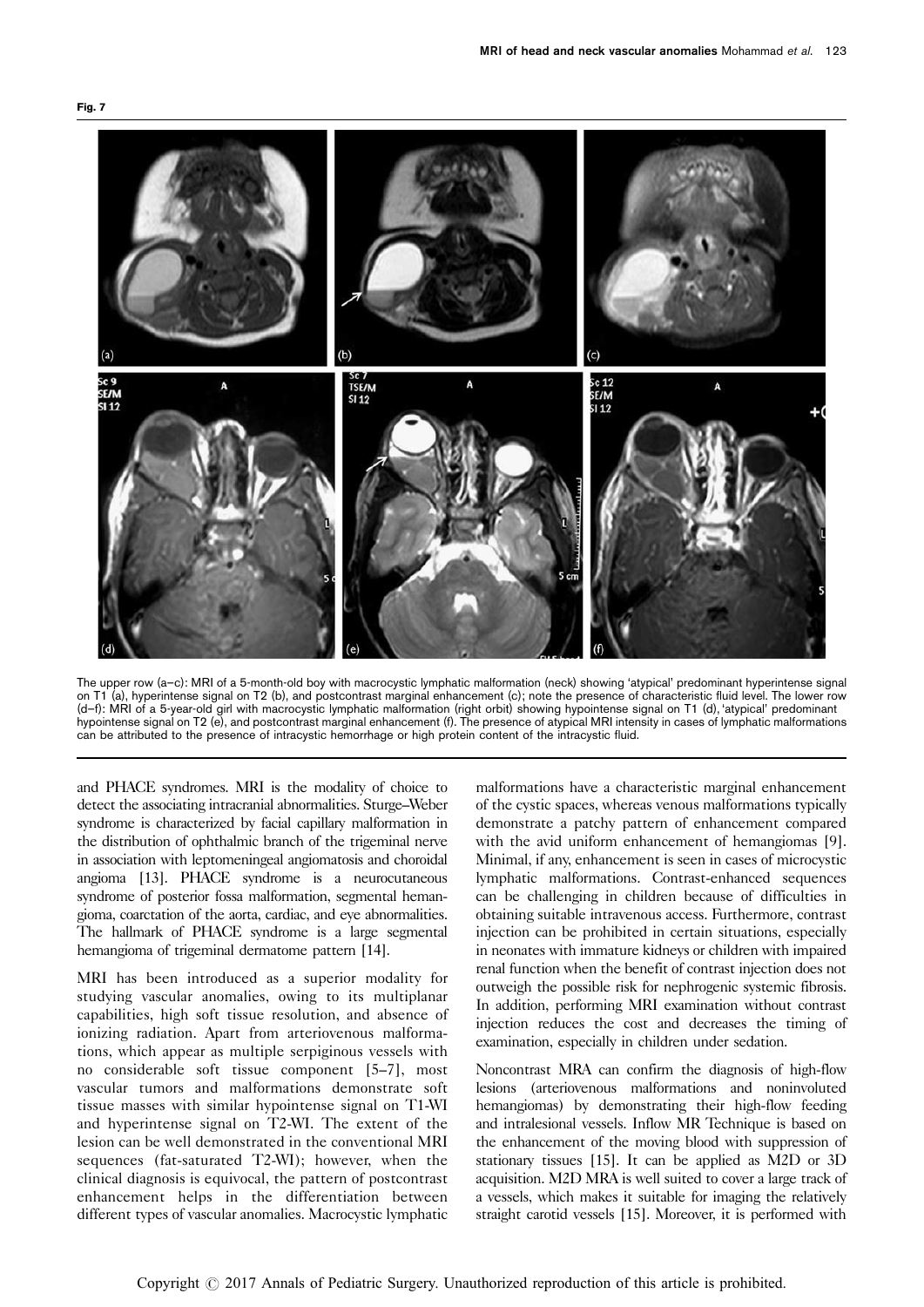<span id="page-7-0"></span>



The upper row (a–c): MRI of a 5-month-old boy with macrocystic lymphatic malformation (neck) showing 'atypical' predominant hyperintense signal on T1 (a), hyperintense signal on T2 (b), and postcontrast marginal enhancement (c); note the presence of characteristic fluid level. The lower row (d–f): MRI of a 5-year-old girl with macrocystic lymphatic malformation (right orbit) showing hypointense signal on T1 (d), 'atypical' predominant hypointense signal on T2 (e), and postcontrast marginal enhancement (f). The presence of atypical MRI intensity in cases of lymphatic malformations can be attributed to the presence of intracystic hemorrhage or high protein content of the intracystic fluid.

and PHACE syndromes. MRI is the modality of choice to detect the associating intracranial abnormalities. Sturge–Weber syndrome is characterized by facial capillary malformation in the distribution of ophthalmic branch of the trigeminal nerve in association with leptomeningeal angiomatosis and choroidal angioma [\[13](#page-8-0)]. PHACE syndrome is a neurocutaneous syndrome of posterior fossa malformation, segmental hemangioma, coarctation of the aorta, cardiac, and eye abnormalities. The hallmark of PHACE syndrome is a large segmental hemangioma of trigeminal dermatome pattern [\[14](#page-8-0)].

MRI has been introduced as a superior modality for studying vascular anomalies, owing to its multiplanar capabilities, high soft tissue resolution, and absence of ionizing radiation. Apart from arteriovenous malformations, which appear as multiple serpiginous vessels with no considerable soft tissue component [\[5–7](#page-8-0)], most vascular tumors and malformations demonstrate soft tissue masses with similar hypointense signal on T1-WI and hyperintense signal on T2-WI. The extent of the lesion can be well demonstrated in the conventional MRI sequences (fat-saturated T2-WI); however, when the clinical diagnosis is equivocal, the pattern of postcontrast enhancement helps in the differentiation between different types of vascular anomalies. Macrocystic lymphatic

malformations have a characteristic marginal enhancement of the cystic spaces, whereas venous malformations typically demonstrate a patchy pattern of enhancement compared with the avid uniform enhancement of hemangiomas [\[9](#page-8-0)]. Minimal, if any, enhancement is seen in cases of microcystic lymphatic malformations. Contrast-enhanced sequences can be challenging in children because of difficulties in obtaining suitable intravenous access. Furthermore, contrast injection can be prohibited in certain situations, especially in neonates with immature kidneys or children with impaired renal function when the benefit of contrast injection does not outweigh the possible risk for nephrogenic systemic fibrosis. In addition, performing MRI examination without contrast injection reduces the cost and decreases the timing of examination, especially in children under sedation.

Noncontrast MRA can confirm the diagnosis of high-flow lesions (arteriovenous malformations and noninvoluted hemangiomas) by demonstrating their high-flow feeding and intralesional vessels. Inflow MR Technique is based on the enhancement of the moving blood with suppression of stationary tissues [\[15](#page-8-0)]. It can be applied as M2D or 3D acquisition. M2D MRA is well suited to cover a large track of a vessels, which makes it suitable for imaging the relatively straight carotid vessels [\[15\]](#page-8-0). Moreover, it is performed with